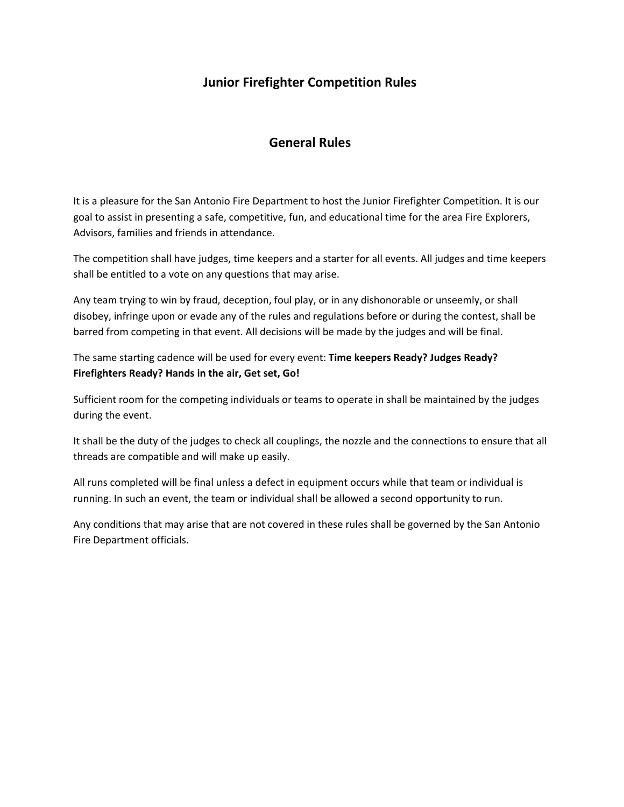# **Junior Firefighter Competition Rules**

## **General Rules**

It is a pleasure for the San Antonio Fire Department to host the Junior Firefighter Competition. It is our goal to assist in presenting a safe, competitive, fun, and educational time for the area Fire Explorers, Advisors, families and friends in attendance.

The competition shall have judges, time keepers and a starter for all events. All judges and time keepers shall be entitled to a vote on any questions that may arise.

Any team trying to win by fraud, deception, foul play, or in any dishonorable or unseemly, or shall disobey, infringe upon or evade any of the rules and regulations before or during the contest, shall be barred from competing in that event. All decisions will be made by the judges and will be final.

The same starting cadence will be used for every event: **Time keepers Ready? Judges Ready? Firefighters Ready? Hands in the air, Get set, Go!**

Sufficient room for the competing individuals or teams to operate in shall be maintained by the judges during the event.

It shall be the duty of the judges to check all couplings, the nozzle and the connections to ensure that all threads are compatible and will make up easily.

All runs completed will be final unless a defect in equipment occurs while that team or individual is running. In such an event, the team or individual shall be allowed a second opportunity to run.

Any conditions that may arise that are not covered in these rules shall be governed by the San Antonio Fire Department officials.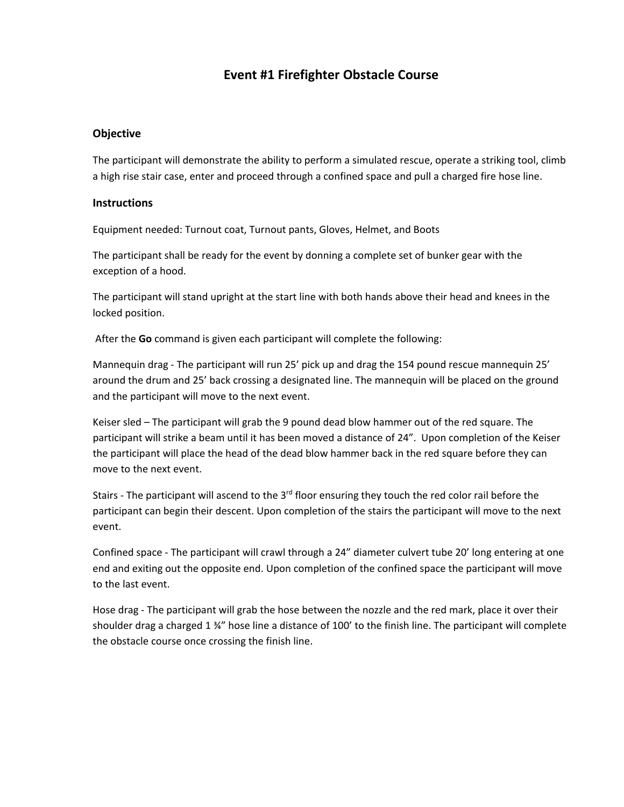# **Event #1 Firefighter Obstacle Course**

### **Objective**

The participant will demonstrate the ability to perform a simulated rescue, operate a striking tool, climb a high rise stair case, enter and proceed through a confined space and pull a charged fire hose line.

#### **Instructions**

Equipment needed: Turnout coat, Turnout pants, Gloves, Helmet, and Boots

The participant shall be ready for the event by donning a complete set of bunker gear with the exception of a hood.

The participant will stand upright at the start line with both hands above their head and knees in the locked position.

After the **Go** command is given each participant will complete the following:

Mannequin drag - The participant will run 25' pick up and drag the 154 pound rescue mannequin 25' around the drum and 25' back crossing a designated line. The mannequin will be placed on the ground and the participant will move to the next event.

Keiser sled – The participant will grab the 9 pound dead blow hammer out of the red square. The participant will strike a beam until it has been moved a distance of 24". Upon completion of the Keiser the participant will place the head of the dead blow hammer back in the red square before they can move to the next event.

Stairs - The participant will ascend to the 3<sup>rd</sup> floor ensuring they touch the red color rail before the participant can begin their descent. Upon completion of the stairs the participant will move to the next event.

Confined space - The participant will crawl through a 24" diameter culvert tube 20' long entering at one end and exiting out the opposite end. Upon completion of the confined space the participant will move to the last event.

Hose drag - The participant will grab the hose between the nozzle and the red mark, place it over their shoulder drag a charged 1 ¾" hose line a distance of 100' to the finish line. The participant will complete the obstacle course once crossing the finish line.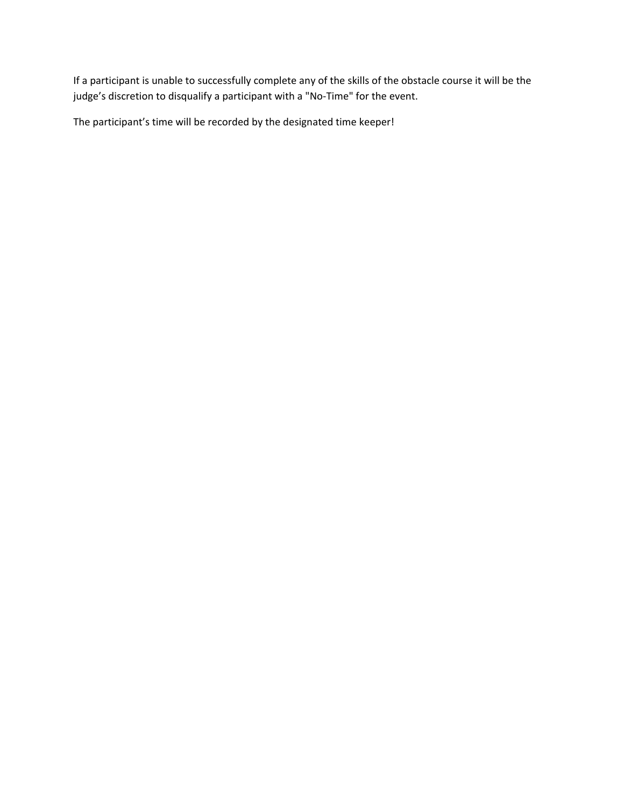If a participant is unable to successfully complete any of the skills of the obstacle course it will be the judge's discretion to disqualify a participant with a "No-Time" for the event.

The participant's time will be recorded by the designated time keeper!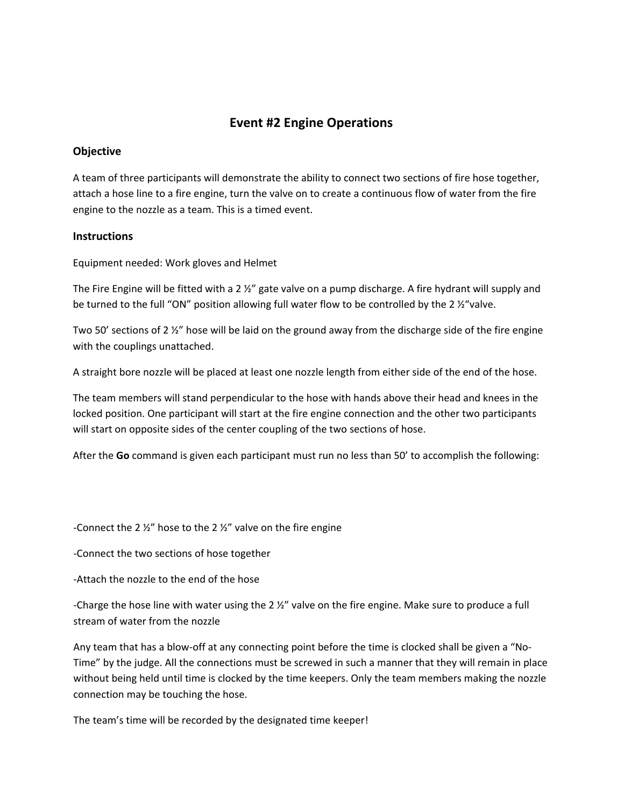# **Event #2 Engine Operations**

### **Objective**

A team of three participants will demonstrate the ability to connect two sections of fire hose together, attach a hose line to a fire engine, turn the valve on to create a continuous flow of water from the fire engine to the nozzle as a team. This is a timed event.

### **Instructions**

Equipment needed: Work gloves and Helmet

The Fire Engine will be fitted with a 2  $\frac{1}{2}$  gate valve on a pump discharge. A fire hydrant will supply and be turned to the full "ON" position allowing full water flow to be controlled by the 2 % "valve.

Two 50' sections of 2  $\frac{1}{2}$ " hose will be laid on the ground away from the discharge side of the fire engine with the couplings unattached.

A straight bore nozzle will be placed at least one nozzle length from either side of the end of the hose.

The team members will stand perpendicular to the hose with hands above their head and knees in the locked position. One participant will start at the fire engine connection and the other two participants will start on opposite sides of the center coupling of the two sections of hose.

After the **Go** command is given each participant must run no less than 50' to accomplish the following:

-Connect the 2 ½" hose to the 2 ½" valve on the fire engine

-Connect the two sections of hose together

-Attach the nozzle to the end of the hose

-Charge the hose line with water using the 2 ½" valve on the fire engine. Make sure to produce a full stream of water from the nozzle

Any team that has a blow-off at any connecting point before the time is clocked shall be given a "No-Time" by the judge. All the connections must be screwed in such a manner that they will remain in place without being held until time is clocked by the time keepers. Only the team members making the nozzle connection may be touching the hose.

The team's time will be recorded by the designated time keeper!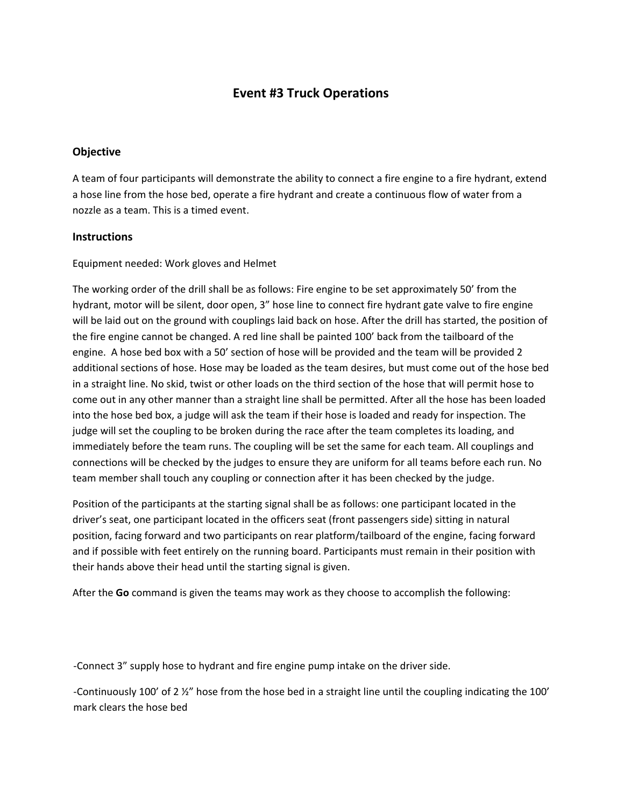# **Event #3 Truck Operations**

#### **Objective**

A team of four participants will demonstrate the ability to connect a fire engine to a fire hydrant, extend a hose line from the hose bed, operate a fire hydrant and create a continuous flow of water from a nozzle as a team. This is a timed event.

#### **Instructions**

Equipment needed: Work gloves and Helmet

The working order of the drill shall be as follows: Fire engine to be set approximately 50' from the hydrant, motor will be silent, door open, 3" hose line to connect fire hydrant gate valve to fire engine will be laid out on the ground with couplings laid back on hose. After the drill has started, the position of the fire engine cannot be changed. A red line shall be painted 100' back from the tailboard of the engine. A hose bed box with a 50' section of hose will be provided and the team will be provided 2 additional sections of hose. Hose may be loaded as the team desires, but must come out of the hose bed in a straight line. No skid, twist or other loads on the third section of the hose that will permit hose to come out in any other manner than a straight line shall be permitted. After all the hose has been loaded into the hose bed box, a judge will ask the team if their hose is loaded and ready for inspection. The judge will set the coupling to be broken during the race after the team completes its loading, and immediately before the team runs. The coupling will be set the same for each team. All couplings and connections will be checked by the judges to ensure they are uniform for all teams before each run. No team member shall touch any coupling or connection after it has been checked by the judge.

Position of the participants at the starting signal shall be as follows: one participant located in the driver's seat, one participant located in the officers seat (front passengers side) sitting in natural position, facing forward and two participants on rear platform/tailboard of the engine, facing forward and if possible with feet entirely on the running board. Participants must remain in their position with their hands above their head until the starting signal is given.

After the **Go** command is given the teams may work as they choose to accomplish the following:

-Connect 3" supply hose to hydrant and fire engine pump intake on the driver side.

-Continuously 100' of 2 ½" hose from the hose bed in a straight line until the coupling indicating the 100' mark clears the hose bed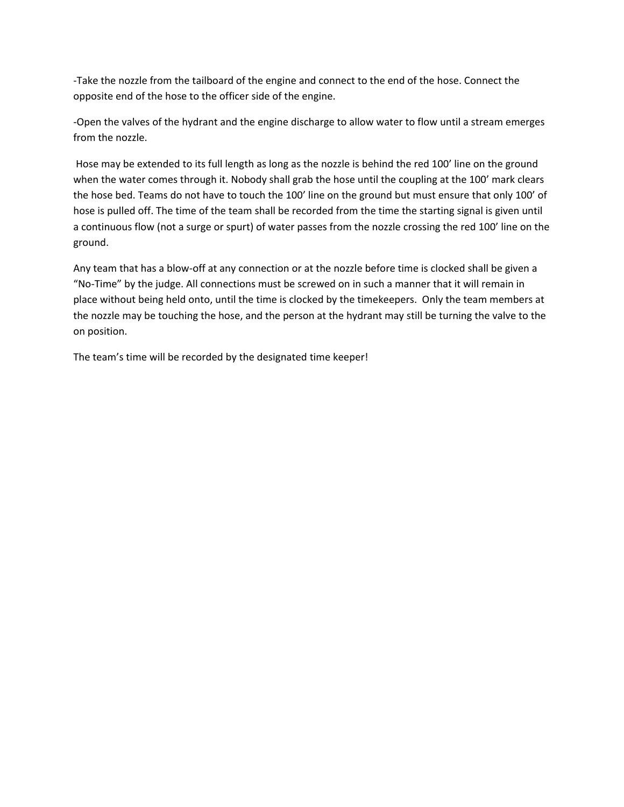-Take the nozzle from the tailboard of the engine and connect to the end of the hose. Connect the opposite end of the hose to the officer side of the engine.

-Open the valves of the hydrant and the engine discharge to allow water to flow until a stream emerges from the nozzle.

Hose may be extended to its full length as long as the nozzle is behind the red 100' line on the ground when the water comes through it. Nobody shall grab the hose until the coupling at the 100' mark clears the hose bed. Teams do not have to touch the 100' line on the ground but must ensure that only 100' of hose is pulled off. The time of the team shall be recorded from the time the starting signal is given until a continuous flow (not a surge or spurt) of water passes from the nozzle crossing the red 100' line on the ground.

Any team that has a blow-off at any connection or at the nozzle before time is clocked shall be given a "No-Time" by the judge. All connections must be screwed on in such a manner that it will remain in place without being held onto, until the time is clocked by the timekeepers. Only the team members at the nozzle may be touching the hose, and the person at the hydrant may still be turning the valve to the on position.

The team's time will be recorded by the designated time keeper!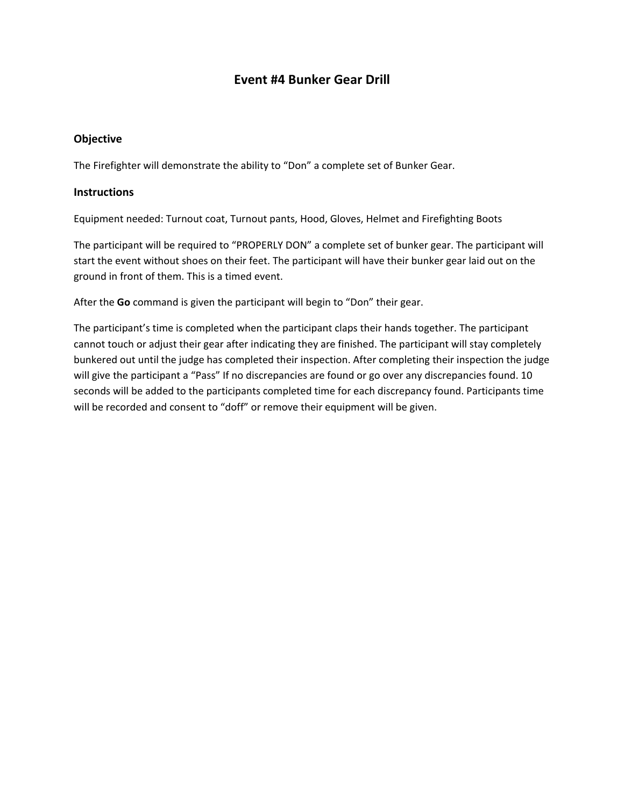# **Event #4 Bunker Gear Drill**

## **Objective**

The Firefighter will demonstrate the ability to "Don" a complete set of Bunker Gear.

### **Instructions**

Equipment needed: Turnout coat, Turnout pants, Hood, Gloves, Helmet and Firefighting Boots

The participant will be required to "PROPERLY DON" a complete set of bunker gear. The participant will start the event without shoes on their feet. The participant will have their bunker gear laid out on the ground in front of them. This is a timed event.

After the **Go** command is given the participant will begin to "Don" their gear.

The participant's time is completed when the participant claps their hands together. The participant cannot touch or adjust their gear after indicating they are finished. The participant will stay completely bunkered out until the judge has completed their inspection. After completing their inspection the judge will give the participant a "Pass" If no discrepancies are found or go over any discrepancies found. 10 seconds will be added to the participants completed time for each discrepancy found. Participants time will be recorded and consent to "doff" or remove their equipment will be given.